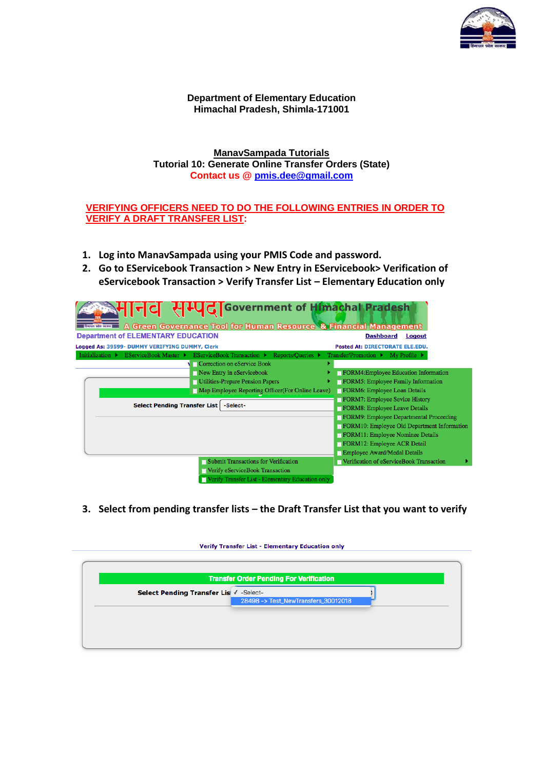

## **Department of Elementary Education Himachal Pradesh, Shimla-171001**

**ManavSampada Tutorials Tutorial 10: Generate Online Transfer Orders (State) Contact us @ pmis.dee@gmail.com**

## **VERIFYING OFFICERS NEED TO DO THE FOLLOWING ENTRIES IN ORDER TO VERIFY A DRAFT TRANSFER LIST:**

- **1. Log into ManavSampada using your PMIS Code and password.**
- **2. Go to EServicebook Transaction > New Entry in EServicebook> Verification of eServicebook Transaction > Verify Transfer List – Elementary Education only**

| 디디 HHG Government of Himachal Pradesh<br>A Green Governance Tool for Human Resource & Financial Management                                                               |                                                                                                                                                                                                                                                                                                                   |
|--------------------------------------------------------------------------------------------------------------------------------------------------------------------------|-------------------------------------------------------------------------------------------------------------------------------------------------------------------------------------------------------------------------------------------------------------------------------------------------------------------|
| <b>Department of ELEMENTARY EDUCATION</b>                                                                                                                                | <b>Dashboard</b><br>Logout                                                                                                                                                                                                                                                                                        |
| Logged As: 39599- DUMMY VERIFYING DUMMY, Clerk                                                                                                                           | <b>Posted At: DIRECTORATE ELE.EDU.</b>                                                                                                                                                                                                                                                                            |
| EServiceBook Master ▶<br>Initialization $\blacktriangleright$<br>EServiceBook Transaction ▶ Reports/Queries ▶<br><b>D</b> Correction on eService Book                    | Transfer/Promotion $\blacktriangleright$ My Profile $\blacktriangleright$                                                                                                                                                                                                                                         |
| New Entry in eServicebook<br><b>Jo Utilities-Prepare Pension Papers</b><br>Map Employee Reporting Officer (For Online Leave)<br>Select Pending Transfer List<br>-Select- | <b>FORM4:Employee Education Information</b><br><b>FORM5:</b> Employee Family Information<br><b>FORM6:</b> Employee Loan Details<br>FORM7: Employee Sevice History<br><b>FORM8:</b> Employee Leave Details<br><b>FORM9:</b> Employee Departmental Proceeding<br><b>FORM10:</b> Employee Old Department Information |
| <b>Submit Transactions for Verification</b><br><b>E</b> Verify eServiceBook Transaction<br><b>Exercisy</b> Transfer List - Elementary Education only                     | <b>FORM11:</b> Employee Nominee Details<br><b>FORM12:</b> Employee ACR Detail<br><b>Employee Award/Medal Details</b><br><b>E</b> Verification of eServiceBook Transaction                                                                                                                                         |

**3. Select from pending transfer lists – the Draft Transfer List that you want to verify**

| Verify Transfer List - Elementary Education only |  |  |
|--------------------------------------------------|--|--|

| Select Pending Transfer Lis V -Select- |                                     |  |
|----------------------------------------|-------------------------------------|--|
|                                        | 28498 -> Test_NewTransfers_30012018 |  |
|                                        |                                     |  |
|                                        |                                     |  |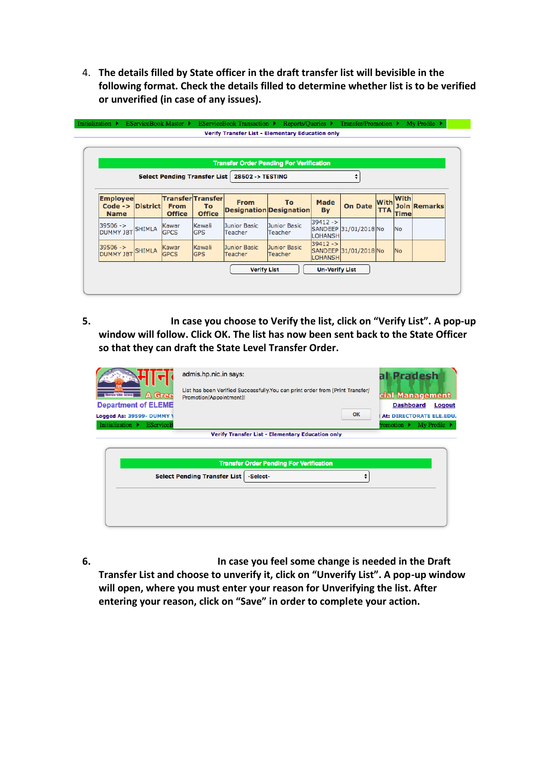4. **The details filled by State officer in the draft transfer list will bevisible in the following format. Check the details filled to determine whether list is to be verified or unverified (in case of any issues).**

| <b>Transfer Order Pending For Verification</b>  |                 |                              |                                                 |                                |                                       |                               |                       |                    |                     |                     |
|-------------------------------------------------|-----------------|------------------------------|-------------------------------------------------|--------------------------------|---------------------------------------|-------------------------------|-----------------------|--------------------|---------------------|---------------------|
| Select Pending Transfer List   28502 -> TESTING |                 |                              |                                                 |                                |                                       |                               |                       |                    |                     |                     |
| <b>Employee</b><br>$Code ->$<br><b>Name</b>     | <b>District</b> | <b>From</b><br><b>Office</b> | <b>Transfer Transfer</b><br>To<br><b>Office</b> | <b>From</b>                    | To:<br><b>Designation Designation</b> | Made<br><b>By</b>             | <b>On Date</b>        | With<br><b>TTA</b> | With<br><b>Time</b> | <b>Join Remarks</b> |
| $39506 - >$<br><b>DUMMY JBT</b>                 | <b>SHIMLA</b>   | Kawar<br><b>GPCS</b>         | Kawali<br><b>GPS</b>                            | Junior Basic<br>Teacher        | Junior Basic<br>Teacher               | $39412 - >$<br><b>LOHANSH</b> | SANDEEP 31/01/2018 No |                    | <b>No</b>           |                     |
| $39506 - >$<br><b>DUMMY JBT</b>                 | <b>SHIMLA</b>   | Kawar<br><b>GPCS</b>         | Kawali<br><b>GPS</b>                            | Junior Basic<br><b>Teacher</b> | Junior Basic<br>Teacher               | $39412 - >$<br><b>LOHANSH</b> | SANDEEP 31/01/2018 No |                    | <b>No</b>           |                     |

**5. In case you choose to Verify the list, click on "Verify List". A pop-up window will follow. Click OK. The list has now been sent back to the State Officer so that they can draft the State Level Transfer Order.**

| A Gree<br><b>Rentale with estate</b><br><b>Department of ELEME</b><br>Logged As: 39599- DUMMY \<br>Initialization $\blacktriangleright$<br><b>EServiceB</b> | admis.hp.nic.in says:<br>List has been Verified Successfully. You can print order from [Print Transfer/<br>Promotion/Appointment]! | al Pradesh<br>cial Management<br><b>Dashboard</b><br>Logout<br>OK<br>At: DIRECTORATE ELE.EDU.<br>romotion $\blacktriangleright$ My Profile $\blacktriangleright$ |
|-------------------------------------------------------------------------------------------------------------------------------------------------------------|------------------------------------------------------------------------------------------------------------------------------------|------------------------------------------------------------------------------------------------------------------------------------------------------------------|
|                                                                                                                                                             | <b>Verify Transfer List - Elementary Education only</b>                                                                            |                                                                                                                                                                  |
|                                                                                                                                                             | <b>Transfer Order Pending For Verification</b>                                                                                     |                                                                                                                                                                  |
|                                                                                                                                                             | <b>Select Pending Transfer List</b><br>-Select-                                                                                    | ▴                                                                                                                                                                |
|                                                                                                                                                             |                                                                                                                                    |                                                                                                                                                                  |

**6. In case you feel some change is needed in the Draft Transfer List and choose to unverify it, click on "Unverify List". A pop-up window will open, where you must enter your reason for Unverifying the list. After entering your reason, click on "Save" in order to complete your action.**